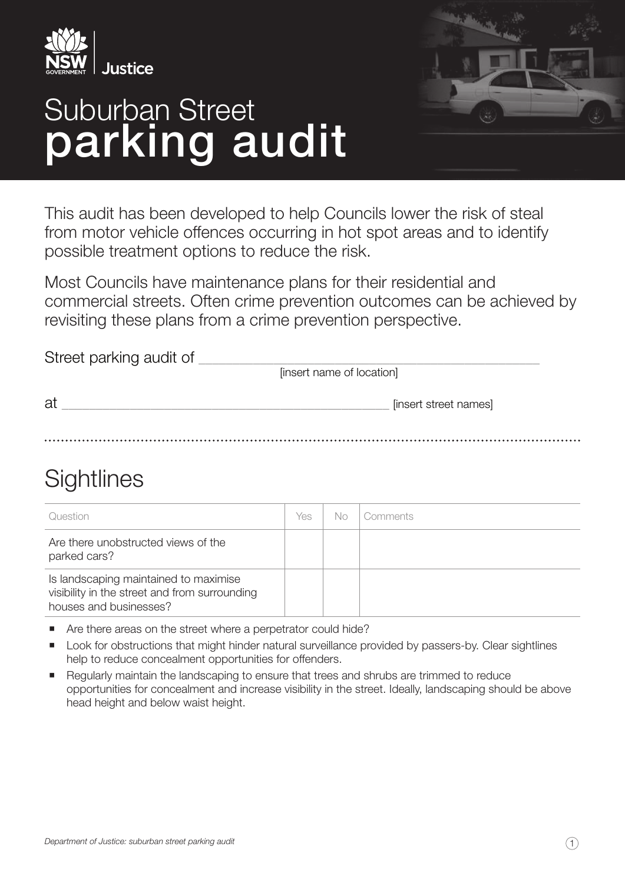

# Suburban Street parking audit



This audit has been developed to help Councils lower the risk of steal from motor vehicle offences occurring in hot spot areas and to identify possible treatment options to reduce the risk.

Most Councils have maintenance plans for their residential and commercial streets. Often crime prevention outcomes can be achieved by revisiting these plans from a crime prevention perspective.

| Street parking audit of |                           |
|-------------------------|---------------------------|
|                         | [insert name of location] |
| at                      | [insert street names]     |

#### **Sightlines**

| Question                                                                                                         | Yes | No. | Comments |
|------------------------------------------------------------------------------------------------------------------|-----|-----|----------|
| Are there unobstructed views of the<br>parked cars?                                                              |     |     |          |
| Is landscaping maintained to maximise<br>visibility in the street and from surrounding<br>houses and businesses? |     |     |          |

- Are there areas on the street where a perpetrator could hide?
- Look for obstructions that might hinder natural surveillance provided by passers-by. Clear sightlines help to reduce concealment opportunities for offenders.
- Regularly maintain the landscaping to ensure that trees and shrubs are trimmed to reduce opportunities for concealment and increase visibility in the street. Ideally, landscaping should be above head height and below waist height.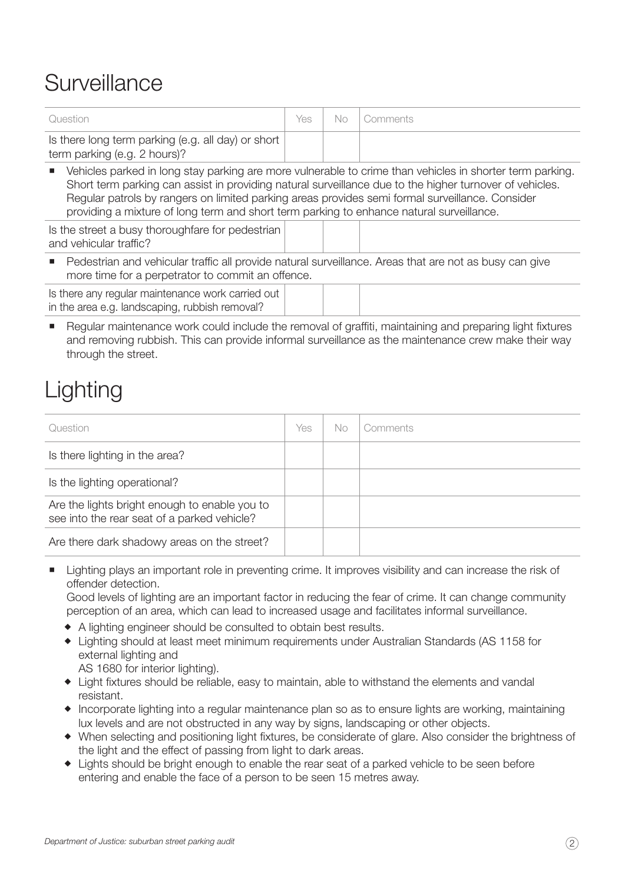### **Surveillance**

| Question                                                                           | Yes | No   Comments |
|------------------------------------------------------------------------------------|-----|---------------|
| Is there long term parking (e.g. all day) or short<br>term parking (e.g. 2 hours)? |     |               |
| .                                                                                  |     |               |

 Vehicles parked in long stay parking are more vulnerable to crime than vehicles in shorter term parking. Short term parking can assist in providing natural surveillance due to the higher turnover of vehicles. Regular patrols by rangers on limited parking areas provides semi formal surveillance. Consider providing a mixture of long term and short term parking to enhance natural surveillance.

Is the street a busy thoroughfare for pedestrian and vehicular traffic?

 Pedestrian and vehicular traffic all provide natural surveillance. Areas that are not as busy can give more time for a perpetrator to commit an offence.

Is there any regular maintenance work carried out in the area e.g. landscaping, rubbish removal?

 Regular maintenance work could include the removal of graffiti, maintaining and preparing light fixtures and removing rubbish. This can provide informal surveillance as the maintenance crew make their way through the street.

### **Lighting**

| Question                                                                                     | Yes | No | Comments |
|----------------------------------------------------------------------------------------------|-----|----|----------|
| Is there lighting in the area?                                                               |     |    |          |
| Is the lighting operational?                                                                 |     |    |          |
| Are the lights bright enough to enable you to<br>see into the rear seat of a parked vehicle? |     |    |          |
| Are there dark shadowy areas on the street?                                                  |     |    |          |

 Lighting plays an important role in preventing crime. It improves visibility and can increase the risk of offender detection.

Good levels of lighting are an important factor in reducing the fear of crime. It can change community perception of an area, which can lead to increased usage and facilitates informal surveillance.

- A lighting engineer should be consulted to obtain best results.
- Lighting should at least meet minimum requirements under Australian Standards (AS 1158 for external lighting and
	- AS 1680 for interior lighting).
- Light fixtures should be reliable, easy to maintain, able to withstand the elements and vandal resistant.
- Incorporate lighting into a regular maintenance plan so as to ensure lights are working, maintaining lux levels and are not obstructed in any way by signs, landscaping or other objects.
- When selecting and positioning light fixtures, be considerate of glare. Also consider the brightness of the light and the effect of passing from light to dark areas.
- Lights should be bright enough to enable the rear seat of a parked vehicle to be seen before entering and enable the face of a person to be seen 15 metres away.